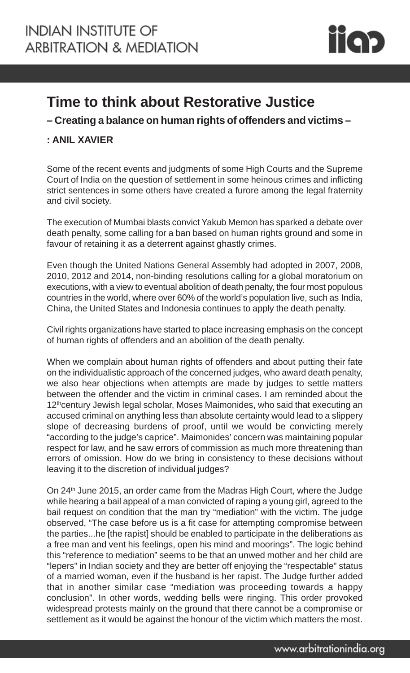

## **Time to think about Restorative Justice**

**– Creating a balance on human rights of offenders and victims –**

## **: ANIL XAVIER**

Some of the recent events and judgments of some High Courts and the Supreme Court of India on the question of settlement in some heinous crimes and inflicting strict sentences in some others have created a furore among the legal fraternity and civil society.

The execution of Mumbai blasts convict Yakub Memon has sparked a debate over death penalty, some calling for a ban based on human rights ground and some in favour of retaining it as a deterrent against ghastly crimes.

Even though the United Nations General Assembly had adopted in 2007, 2008, 2010, 2012 and 2014, non-binding resolutions calling for a global moratorium on executions, with a view to eventual abolition of death penalty, the four most populous countries in the world, where over 60% of the world's population live, such as India, China, the United States and Indonesia continues to apply the death penalty.

Civil rights organizations have started to place increasing emphasis on the concept of human rights of offenders and an abolition of the death penalty.

When we complain about human rights of offenders and about putting their fate on the individualistic approach of the concerned judges, who award death penalty, we also hear objections when attempts are made by judges to settle matters between the offender and the victim in criminal cases. I am reminded about the 12<sup>th</sup>century Jewish legal scholar, Moses Maimonides, who said that executing an accused criminal on anything less than absolute certainty would lead to a slippery slope of decreasing burdens of proof, until we would be convicting merely "according to the judge's caprice". Maimonides' concern was maintaining popular respect for law, and he saw errors of commission as much more threatening than errors of omission. How do we bring in consistency to these decisions without leaving it to the discretion of individual judges?

On 24th June 2015, an order came from the Madras High Court, where the Judge while hearing a bail appeal of a man convicted of raping a young girl, agreed to the bail request on condition that the man try "mediation" with the victim. The judge observed, "The case before us is a fit case for attempting compromise between the parties...he [the rapist] should be enabled to participate in the deliberations as a free man and vent his feelings, open his mind and moorings". The logic behind this "reference to mediation" seems to be that an unwed mother and her child are "lepers" in Indian society and they are better off enjoying the "respectable" status of a married woman, even if the husband is her rapist. The Judge further added that in another similar case "mediation was proceeding towards a happy conclusion". In other words, wedding bells were ringing. This order provoked widespread protests mainly on the ground that there cannot be a compromise or settlement as it would be against the honour of the victim which matters the most.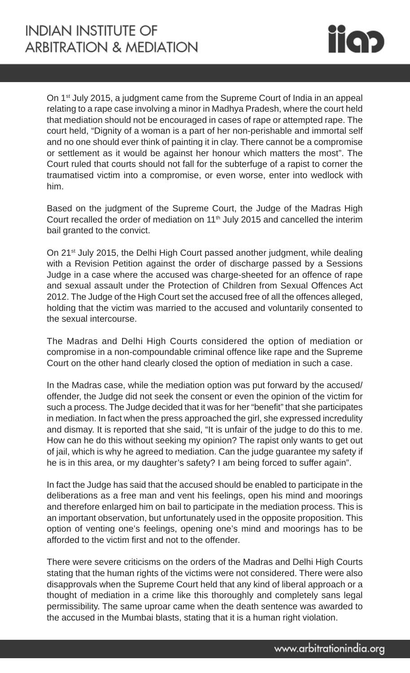

On 1st July 2015, a judgment came from the Supreme Court of India in an appeal relating to a rape case involving a minor in Madhya Pradesh, where the court held that mediation should not be encouraged in cases of rape or attempted rape. The court held, "Dignity of a woman is a part of her non-perishable and immortal self and no one should ever think of painting it in clay. There cannot be a compromise or settlement as it would be against her honour which matters the most". The Court ruled that courts should not fall for the subterfuge of a rapist to corner the traumatised victim into a compromise, or even worse, enter into wedlock with him.

Based on the judgment of the Supreme Court, the Judge of the Madras High Court recalled the order of mediation on 11<sup>th</sup> July 2015 and cancelled the interim bail granted to the convict.

On 21<sup>st</sup> July 2015, the Delhi High Court passed another judgment, while dealing with a Revision Petition against the order of discharge passed by a Sessions Judge in a case where the accused was charge-sheeted for an offence of rape and sexual assault under the Protection of Children from Sexual Offences Act 2012. The Judge of the High Court set the accused free of all the offences alleged, holding that the victim was married to the accused and voluntarily consented to the sexual intercourse.

The Madras and Delhi High Courts considered the option of mediation or compromise in a non-compoundable criminal offence like rape and the Supreme Court on the other hand clearly closed the option of mediation in such a case.

In the Madras case, while the mediation option was put forward by the accused/ offender, the Judge did not seek the consent or even the opinion of the victim for such a process. The Judge decided that it was for her "benefit" that she participates in mediation. In fact when the press approached the girl, she expressed incredulity and dismay. It is reported that she said, "It is unfair of the judge to do this to me. How can he do this without seeking my opinion? The rapist only wants to get out of jail, which is why he agreed to mediation. Can the judge guarantee my safety if he is in this area, or my daughter's safety? I am being forced to suffer again".

In fact the Judge has said that the accused should be enabled to participate in the deliberations as a free man and vent his feelings, open his mind and moorings and therefore enlarged him on bail to participate in the mediation process. This is an important observation, but unfortunately used in the opposite proposition. This option of venting one's feelings, opening one's mind and moorings has to be afforded to the victim first and not to the offender.

There were severe criticisms on the orders of the Madras and Delhi High Courts stating that the human rights of the victims were not considered. There were also disapprovals when the Supreme Court held that any kind of liberal approach or a thought of mediation in a crime like this thoroughly and completely sans legal permissibility. The same uproar came when the death sentence was awarded to the accused in the Mumbai blasts, stating that it is a human right violation.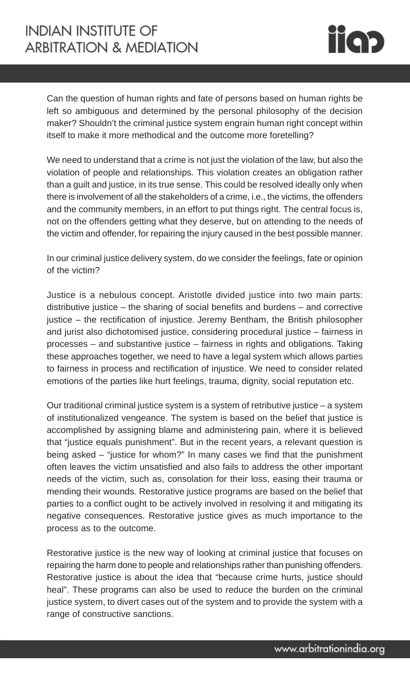## **INDIAN INSTITUTE OF ARBITRATION & MEDIATION**



Can the question of human rights and fate of persons based on human rights be left so ambiguous and determined by the personal philosophy of the decision maker? Shouldn't the criminal justice system engrain human right concept within itself to make it more methodical and the outcome more foretelling?

We need to understand that a crime is not just the violation of the law, but also the violation of people and relationships. This violation creates an obligation rather than a guilt and justice, in its true sense. This could be resolved ideally only when there is involvement of all the stakeholders of a crime, i.e., the victims, the offenders and the community members, in an effort to put things right. The central focus is, not on the offenders getting what they deserve, but on attending to the needs of the victim and offender, for repairing the injury caused in the best possible manner.

In our criminal justice delivery system, do we consider the feelings, fate or opinion of the victim?

Justice is a nebulous concept. Aristotle divided justice into two main parts: distributive justice – the sharing of social benefits and burdens – and corrective justice – the rectification of injustice. Jeremy Bentham, the British philosopher and jurist also dichotomised justice, considering procedural justice – fairness in processes – and substantive justice – fairness in rights and obligations. Taking these approaches together, we need to have a legal system which allows parties to fairness in process and rectification of injustice. We need to consider related emotions of the parties like hurt feelings, trauma, dignity, social reputation etc.

Our traditional criminal justice system is a system of retributive justice – a system of institutionalized vengeance. The system is based on the belief that justice is accomplished by assigning blame and administering pain, where it is believed that "justice equals punishment". But in the recent years, a relevant question is being asked – "justice for whom?" In many cases we find that the punishment often leaves the victim unsatisfied and also fails to address the other important needs of the victim, such as, consolation for their loss, easing their trauma or mending their wounds. Restorative justice programs are based on the belief that parties to a conflict ought to be actively involved in resolving it and mitigating its negative consequences. Restorative justice gives as much importance to the process as to the outcome.

Restorative justice is the new way of looking at criminal justice that focuses on repairing the harm done to people and relationships rather than punishing offenders. Restorative justice is about the idea that "because crime hurts, justice should heal". These programs can also be used to reduce the burden on the criminal justice system, to divert cases out of the system and to provide the system with a range of constructive sanctions.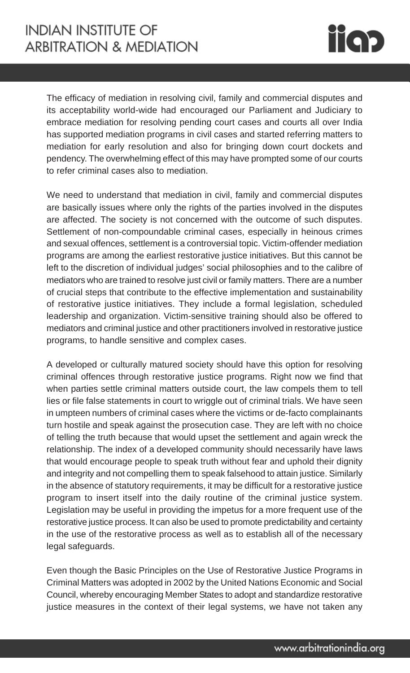

The efficacy of mediation in resolving civil, family and commercial disputes and its acceptability world-wide had encouraged our Parliament and Judiciary to embrace mediation for resolving pending court cases and courts all over India has supported mediation programs in civil cases and started referring matters to mediation for early resolution and also for bringing down court dockets and pendency. The overwhelming effect of this may have prompted some of our courts to refer criminal cases also to mediation.

We need to understand that mediation in civil, family and commercial disputes are basically issues where only the rights of the parties involved in the disputes are affected. The society is not concerned with the outcome of such disputes. Settlement of non-compoundable criminal cases, especially in heinous crimes and sexual offences, settlement is a controversial topic. Victim-offender mediation programs are among the earliest restorative justice initiatives. But this cannot be left to the discretion of individual judges' social philosophies and to the calibre of mediators who are trained to resolve just civil or family matters. There are a number of crucial steps that contribute to the effective implementation and sustainability of restorative justice initiatives. They include a formal legislation, scheduled leadership and organization. Victim-sensitive training should also be offered to mediators and criminal justice and other practitioners involved in restorative justice programs, to handle sensitive and complex cases.

A developed or culturally matured society should have this option for resolving criminal offences through restorative justice programs. Right now we find that when parties settle criminal matters outside court, the law compels them to tell lies or file false statements in court to wriggle out of criminal trials. We have seen in umpteen numbers of criminal cases where the victims or de-facto complainants turn hostile and speak against the prosecution case. They are left with no choice of telling the truth because that would upset the settlement and again wreck the relationship. The index of a developed community should necessarily have laws that would encourage people to speak truth without fear and uphold their dignity and integrity and not compelling them to speak falsehood to attain justice. Similarly in the absence of statutory requirements, it may be difficult for a restorative justice program to insert itself into the daily routine of the criminal justice system. Legislation may be useful in providing the impetus for a more frequent use of the restorative justice process. It can also be used to promote predictability and certainty in the use of the restorative process as well as to establish all of the necessary legal safeguards.

Even though the Basic Principles on the Use of Restorative Justice Programs in Criminal Matters was adopted in 2002 by the United Nations Economic and Social Council, whereby encouraging Member States to adopt and standardize restorative justice measures in the context of their legal systems, we have not taken any